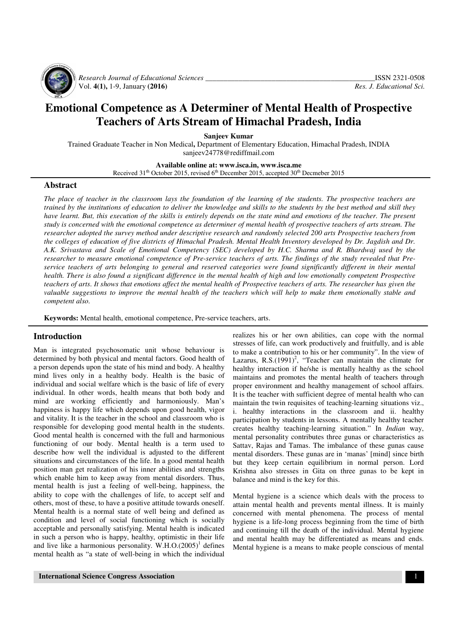

 *Research Journal of Educational Sciences \_\_\_\_\_\_\_\_\_\_\_\_\_\_\_\_\_\_\_\_\_\_\_\_\_\_\_\_\_\_\_\_\_\_\_\_\_\_\_\_\_\_\_\_\_\_*ISSN 2321-0508 Vol. **4(1),** 1-9, January **(2016)** *Res. J. Educational Sci.*

# **Emotional Competence as A Determiner of Mental Health of Prospective Teachers of Arts Stream of Himachal Pradesh, India**

**Sanjeev Kumar** 

Trained Graduate Teacher in Non Medical**,** Department of Elementary Education, Himachal Pradesh, INDIA sanjeev24778@rediffmail.com

**Available online at: www.isca.in, www.isca.me** 

Received  $31<sup>th</sup>$  October 2015, revised 6<sup>th</sup> December 2015, accepted  $30<sup>th</sup>$  Decmeber 2015

#### **Abstract**

*The place of teacher in the classroom lays the foundation of the learning of the students. The prospective teachers are trained by the institutions of education to deliver the knowledge and skills to the students by the best method and skill they have learnt. But, this execution of the skills is entirely depends on the state mind and emotions of the teacher. The present study is concerned with the emotional competence as determiner of mental health of prospective teachers of arts stream. The researcher adopted the survey method under descriptive research and randomly selected 200 arts Prospective teachers from the colleges of education of five districts of Himachal Pradesh. Mental Health Inventory developed by Dr. Jagdish and Dr. A.K. Srivastava and Scale of Emotional Competency (SEC) developed by H.C. Sharma and R. Bhardwaj used by the researcher to measure emotional competence of Pre-service teachers of arts. The findings of the study revealed that Preservice teachers of arts belonging to general and reserved categories were found significantly different in their mental health. There is also found a significant difference in the mental health of high and low emotionally competent Prospective teachers of arts. It shows that emotions affect the mental health of Prospective teachers of arts. The researcher has given the valuable suggestions to improve the mental health of the teachers which will help to make them emotionally stable and competent also.* 

**Keywords:** Mental health, emotional competence, Pre-service teachers, arts.

#### **Introduction**

Man is integrated psychosomatic unit whose behaviour is determined by both physical and mental factors. Good health of a person depends upon the state of his mind and body. A healthy mind lives only in a healthy body. Health is the basic of individual and social welfare which is the basic of life of every individual. In other words, health means that both body and mind are working efficiently and harmoniously. Man's happiness is happy life which depends upon good health, vigor and vitality. It is the teacher in the school and classroom who is responsible for developing good mental health in the students. Good mental health is concerned with the full and harmonious functioning of our body. Mental health is a term used to describe how well the individual is adjusted to the different situations and circumstances of the life. In a good mental health position man get realization of his inner abilities and strengths which enable him to keep away from mental disorders. Thus, mental health is just a feeling of well-being, happiness, the ability to cope with the challenges of life, to accept self and others, most of these, to have a positive attitude towards oneself. Mental health is a normal state of well being and defined as condition and level of social functioning which is socially acceptable and personally satisfying. Mental health is indicated in such a person who is happy, healthy, optimistic in their life and live like a harmonious personality.  $W.H.O.(2005)^1$  defines mental health as "a state of well-being in which the individual

Lazarus, R.S. $(1991)^2$ , "Teacher can maintain the climate for healthy interaction if he/she is mentally healthy as the school maintains and promotes the mental health of teachers through proper environment and healthy management of school affairs. It is the teacher with sufficient degree of mental health who can maintain the twin requisites of teaching-learning situations viz., i. healthy interactions in the classroom and ii. healthy participation by students in lessons. A mentally healthy teacher creates healthy teaching-learning situation." In *Indian* way, mental personality contributes three gunas or characteristics as Sattav, Rajas and Tamas. The imbalance of these gunas cause mental disorders. These gunas are in 'manas' [mind] since birth but they keep certain equilibrium in normal person. Lord Krishna also stresses in Gita on three gunas to be kept in balance and mind is the key for this.

realizes his or her own abilities, can cope with the normal stresses of life, can work productively and fruitfully, and is able to make a contribution to his or her community". In the view of

Mental hygiene is a science which deals with the process to attain mental health and prevents mental illness. It is mainly concerned with mental phenomena. The process of mental hygiene is a life-long process beginning from the time of birth and continuing till the death of the individual. Mental hygiene and mental health may be differentiated as means and ends. Mental hygiene is a means to make people conscious of mental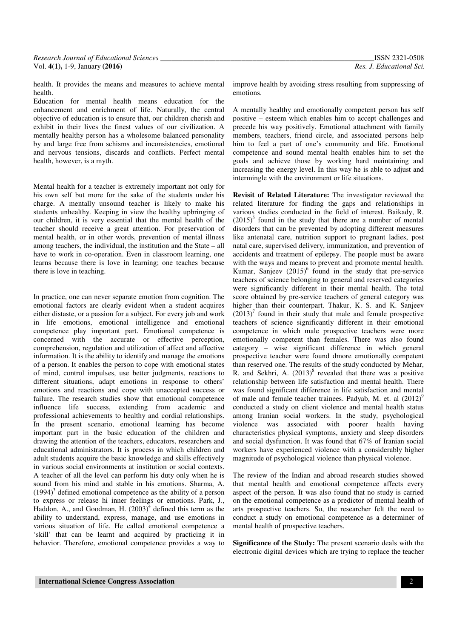health. It provides the means and measures to achieve mental health.

Education for mental health means education for the enhancement and enrichment of life. Naturally, the central objective of education is to ensure that, our children cherish and exhibit in their lives the finest values of our civilization. A mentally healthy person has a wholesome balanced personality by and large free from schisms and inconsistencies, emotional and nervous tensions, discards and conflicts. Perfect mental health, however, is a myth.

Mental health for a teacher is extremely important not only for his own self but more for the sake of the students under his charge. A mentally unsound teacher is likely to make his students unhealthy. Keeping in view the healthy upbringing of our children, it is very essential that the mental health of the teacher should receive a great attention. For preservation of mental health, or in other words, prevention of mental illness among teachers, the individual, the institution and the State – all have to work in co-operation. Even in classroom learning, one learns because there is love in learning; one teaches because there is love in teaching.

In practice, one can never separate emotion from cognition. The emotional factors are clearly evident when a student acquires either distaste, or a passion for a subject. For every job and work in life emotions, emotional intelligence and emotional competence play important part. Emotional competence is concerned with the accurate or effective perception, comprehension, regulation and utilization of affect and affective information. It is the ability to identify and manage the emotions of a person. It enables the person to cope with emotional states of mind, control impulses, use better judgments, reactions to different situations, adapt emotions in response to others' emotions and reactions and cope with unaccepted success or failure. The research studies show that emotional competence influence life success, extending from academic and professional achievements to healthy and cordial relationships. In the present scenario, emotional learning has become important part in the basic education of the children and drawing the attention of the teachers, educators, researchers and educational administrators. It is process in which children and adult students acquire the basic knowledge and skills effectively in various social environments at institution or social contexts. A teacher of all the level can perform his duty only when he is sound from his mind and stable in his emotions. Sharma, A.  $(1994)^3$  defined emotional competence as the ability of a person to express or release hi inner feelings or emotions. Park, J., Haddon, A., and Goodman, H.  $(2003)^4$  defined this term as the ability to understand, express, manage, and use emotions in various situation of life. He called emotional competence a 'skill' that can be learnt and acquired by practicing it in behavior. Therefore, emotional competence provides a way to

improve health by avoiding stress resulting from suppressing of emotions.

A mentally healthy and emotionally competent person has self positive – esteem which enables him to accept challenges and precede his way positively. Emotional attachment with family members, teachers, friend circle, and associated persons help him to feel a part of one's community and life. Emotional competence and sound mental health enables him to set the goals and achieve those by working hard maintaining and increasing the energy level. In this way he is able to adjust and intermingle with the environment or life situations.

**Revisit of Related Literature:** The investigator reviewed the related literature for finding the gaps and relationships in various studies conducted in the field of interest. Baikady, R.  $(2015)^5$  found in the study that there are a number of mental disorders that can be prevented by adopting different measures like antenatal care, nutrition support to pregnant ladies, post natal care, supervised delivery, immunization, and prevention of accidents and treatment of epilepsy. The people must be aware with the ways and means to prevent and promote mental health. Kumar, Sanjeev  $(2015)^6$  found in the study that pre-service teachers of science belonging to general and reserved categories were significantly different in their mental health. The total score obtained by pre-service teachers of general category was higher than their counterpart. Thakur, K. S. and K. Sanjeev  $(2013)^7$  found in their study that male and female prospective teachers of science significantly different in their emotional competence in which male prospective teachers were more emotionally competent than females. There was also found category – wise significant difference in which general prospective teacher were found dmore emotionally competent than reserved one. The results of the study conducted by Mehar, R. and Sekhri, A.  $(2013)^8$  revealed that there was a positive relationship between life satisfaction and mental health. There was found significant difference in life satisfaction and mental of male and female teacher trainees. Padyab, M. et. al  $(2012)^9$ conducted a study on client violence and mental health status among Iranian social workers. In the study, psychological violence was associated with poorer health having characteristics physical symptoms, anxiety and sleep disorders and social dysfunction. It was found that 67% of Iranian social workers have experienced violence with a considerably higher magnitude of psychological violence than physical violence.

The review of the Indian and abroad research studies showed that mental health and emotional competence affects every aspect of the person. It was also found that no study is carried on the emotional competence as a predictor of mental health of arts prospective teachers. So, the researcher felt the need to conduct a study on emotional competence as a determiner of mental health of prospective teachers.

**Significance of the Study:** The present scenario deals with the electronic digital devices which are trying to replace the teacher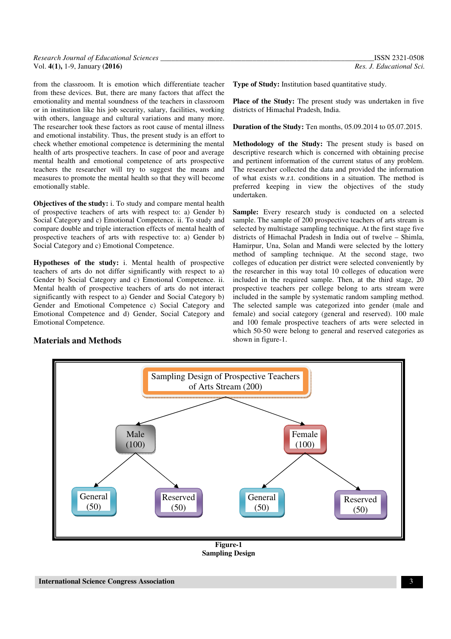| Research Journal of Educational Sciences | <b>ISSN 2321-0508</b>    |
|------------------------------------------|--------------------------|
| Vol. $4(1)$ , 1-9, January (2016)        | Res. J. Educational Sci. |

from the classroom. It is emotion which differentiate teacher from these devices. But, there are many factors that affect the emotionality and mental soundness of the teachers in classroom or in institution like his job security, salary, facilities, working with others, language and cultural variations and many more. The researcher took these factors as root cause of mental illness and emotional instability. Thus, the present study is an effort to check whether emotional competence is determining the mental health of arts prospective teachers. In case of poor and average mental health and emotional competence of arts prospective teachers the researcher will try to suggest the means and measures to promote the mental health so that they will become emotionally stable.

**Objectives of the study:** i. To study and compare mental health of prospective teachers of arts with respect to: a) Gender b) Social Category and c) Emotional Competence. ii. To study and compare double and triple interaction effects of mental health of prospective teachers of arts with respective to: a) Gender b) Social Category and c) Emotional Competence.

**Hypotheses of the study:** i. Mental health of prospective teachers of arts do not differ significantly with respect to a) Gender b) Social Category and c) Emotional Competence. ii. Mental health of prospective teachers of arts do not interact significantly with respect to a) Gender and Social Category b) Gender and Emotional Competence c) Social Category and Emotional Competence and d) Gender, Social Category and Emotional Competence.

#### **Materials and Methods**

**Type of Study:** Institution based quantitative study.

**Place of the Study:** The present study was undertaken in five districts of Himachal Pradesh, India.

**Duration of the Study:** Ten months, 05.09.2014 to 05.07.2015.

**Methodology of the Study:** The present study is based on descriptive research which is concerned with obtaining precise and pertinent information of the current status of any problem. The researcher collected the data and provided the information of what exists w.r.t. conditions in a situation. The method is preferred keeping in view the objectives of the study undertaken.

Sample: Every research study is conducted on a selected sample. The sample of 200 prospective teachers of arts stream is selected by multistage sampling technique. At the first stage five districts of Himachal Pradesh in India out of twelve – Shimla, Hamirpur, Una, Solan and Mandi were selected by the lottery method of sampling technique. At the second stage, two colleges of education per district were selected conveniently by the researcher in this way total 10 colleges of education were included in the required sample. Then, at the third stage, 20 prospective teachers per college belong to arts stream were included in the sample by systematic random sampling method. The selected sample was categorized into gender (male and female) and social category (general and reserved). 100 male and 100 female prospective teachers of arts were selected in which 50-50 were belong to general and reserved categories as shown in figure-1.



**Figure-1 Sampling Design**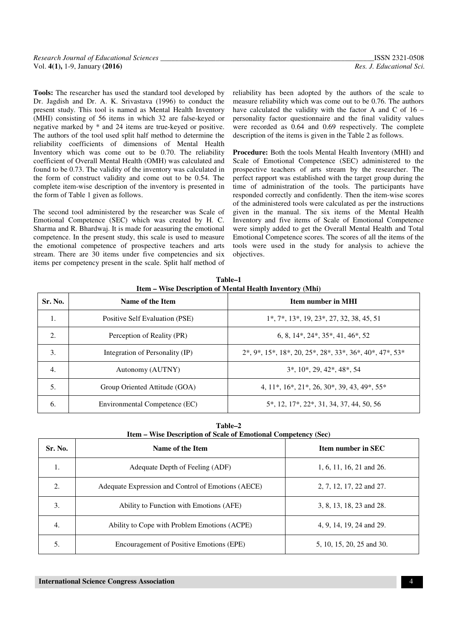| Research Journal of Educational Sciences | ISSN 2321-0508           |
|------------------------------------------|--------------------------|
| Vol. 4(1), 1-9, January (2016)           | Res. J. Educational Sci. |

**Tools:** The researcher has used the standard tool developed by Dr. Jagdish and Dr. A. K. Srivastava (1996) to conduct the present study. This tool is named as Mental Health Inventory (MHI) consisting of 56 items in which 32 are false-keyed or negative marked by \* and 24 items are true-keyed or positive. The authors of the tool used split half method to determine the reliability coefficients of dimensions of Mental Health Inventory which was come out to be 0.70. The reliability coefficient of Overall Mental Health (OMH) was calculated and found to be 0.73. The validity of the inventory was calculated in the form of construct validity and come out to be 0.54. The complete item-wise description of the inventory is presented in the form of Table 1 given as follows.

The second tool administered by the researcher was Scale of Emotional Competence (SEC) which was created by H. C. Sharma and R. Bhardwaj. It is made for aeasuring the emotional competence. In the present study, this scale is used to measure the emotional competence of prospective teachers and arts stream. There are 30 items under five competencies and six items per competency present in the scale. Split half method of reliability has been adopted by the authors of the scale to measure reliability which was come out to be 0.76. The authors have calculated the validity with the factor A and C of 16 – personality factor questionnaire and the final validity values were recorded as 0.64 and 0.69 respectively. The complete description of the items is given in the Table 2 as follows.

**Procedure:** Both the tools Mental Health Inventory (MHI) and Scale of Emotional Competence (SEC) administered to the prospective teachers of arts stream by the researcher. The perfect rapport was established with the target group during the time of administration of the tools. The participants have responded correctly and confidently. Then the item-wise scores of the administered tools were calculated as per the instructions given in the manual. The six items of the Mental Health Inventory and five items of Scale of Emotional Competence were simply added to get the Overall Mental Health and Total Emotional Competence scores. The scores of all the items of the tools were used in the study for analysis to achieve the objectives.

| Sr. No. | <b>Item number in MHI</b><br>Name of the Item |                                                                             |
|---------|-----------------------------------------------|-----------------------------------------------------------------------------|
| 1.      | Positive Self Evaluation (PSE)                | $1^*, 7^*, 13^*, 19, 23^*, 27, 32, 38, 45, 51$                              |
| 2.      | Perception of Reality (PR)                    | $6, 8, 14^*, 24^*, 35^*, 41, 46^*, 52$                                      |
| 3.      | Integration of Personality (IP)               | $2^*, 9^*, 15^*, 18^*, 20, 25^*, 28^*, 33^*, 36^*, 40^*, 47^*, 53^*$        |
| 4.      | Autonomy (AUTNY)                              | $3^*$ , $10^*$ , $29$ , $42^*$ , $48^*$ , 54                                |
| 5.      | Group Oriented Attitude (GOA)                 | 4, $11^*$ , $16^*$ , $21^*$ , $26$ , $30^*$ , $39$ , $43$ , $49^*$ , $55^*$ |
| 6.      | Environmental Competence (EC)                 | 5*, 12, 17*, 22*, 31, 34, 37, 44, 50, 56                                    |

**Table–1 Item – Wise Description of Mental Health Inventory (Mhi)** 

| Table-2                                                               |
|-----------------------------------------------------------------------|
| <b>Item – Wise Description of Scale of Emotional Competency (Sec)</b> |

| Sr. No. | Name of the Item                                   | <b>Item number in SEC</b> |  |
|---------|----------------------------------------------------|---------------------------|--|
|         | Adequate Depth of Feeling (ADF)                    | 1, 6, 11, 16, 21 and 26.  |  |
| 2.      | Adequate Expression and Control of Emotions (AECE) | 2, 7, 12, 17, 22 and 27.  |  |
| 3.      | Ability to Function with Emotions (AFE)            | 3, 8, 13, 18, 23 and 28.  |  |
| 4.      | Ability to Cope with Problem Emotions (ACPE)       | 4, 9, 14, 19, 24 and 29.  |  |
| 5.      | Encouragement of Positive Emotions (EPE)           | 5, 10, 15, 20, 25 and 30. |  |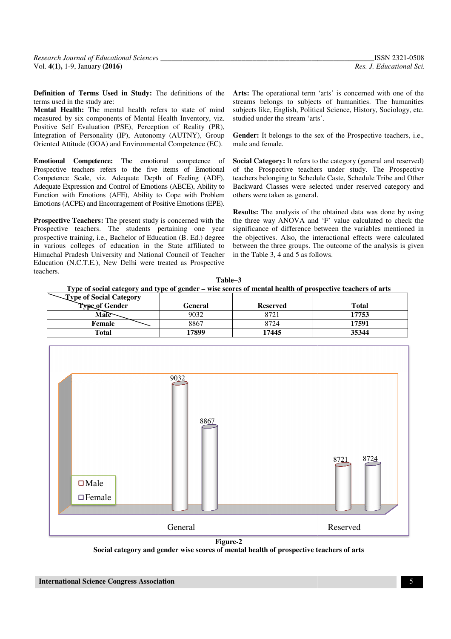**Definition of Terms Used in Study:** The definitions of the terms used in the study are:

**Mental Health:** The mental health refers to state of mind measured by six components of Mental Health Inventory, viz. measured by six components of Mental Health Inventory, viz.<br>Positive Self Evaluation (PSE), Perception of Reality (PR), Integration of Personality (IP), Autonomy (AUTNY), Group Oriented Attitude (GOA) and Environmental Competence (EC).

**Emotional Competence:** The emotional competence of Prospective teachers refers to the five items of Emotional Competence Scale, viz. Adequate Depth of Feeling (ADF), Adequate Expression and Control of Emotions (AECE), Ability to Competence Scale, viz. Adequate Depth of Feeling (ADF), Adequate Expression and Control of Emotions (AECE), Ability to Function with Emotions (AFE), Ability to Cope with Problem Emotions (ACPE) and Encouragement of Positive Emotions (EPE).

**Prospective Teachers:** The present study is concerned with the Prospective teachers. The students pertaining one year prospective training, i.e., Bachelor of Education (B. Ed.) degree in various colleges of education in the State affiliated to Himachal Pradesh University and National Council of Teacher Education (N.C.T.E.), New Delhi were treated as Prospective teachers.

streams belongs to subjects of humanities. The humanities subjects like, English, Political Science, History, Sociology, etc. studied under the stream 'arts'. Streams belongs to subjects of humanities. The humanities<br>subjects like, English, Political Science, History, Sociology, etc.<br>studied under the stream 'arts'.<br>**Gender:** It belongs to the sex of the Prospective teachers, i.

**Gender:** It belongs to the sex of the Prospective teachers, i.e., male and female.

**EMOTE SET THE SET THE SET THE SET THE SET THE SET THE SET THE SET THE RET THE IN THE SET THE RET THE ARTS IS ONE CONDICT AT THE RET THE RET THE ARTS IT CONDICTS IS (THE ARTS INCISED, PECTION IN THE SUPPOSE THE ARTS IN A D Social Category:** It refers to the category (general and reserved) teachers belonging to Schedule Caste, Schedule Tribe and Other Backward Classes were selected under reserved category and others were taken as general. teachers belonging to Schedule Caste, Schedule Tribe and Other<br>Backward Classes were selected under reserved category and<br>others were taken as general.<br>**Results:** The analysis of the obtained data was done by using<br>the thr

**Results:** The analysis of the obtained data was done by using significance of difference between the variables mentioned in the objectives. Also, the interactional effects were calculated the objectives. Also, the interactional effects were calculated between the three groups. The outcome of the analysis is given in the Table 3, 4 and 5 as follows.

| Table-3                                                                                                   |
|-----------------------------------------------------------------------------------------------------------|
| Type of social category and type of gender – wise scores of mental health of prospective teachers of arts |

| -Type of Social Category |         |                 |              |
|--------------------------|---------|-----------------|--------------|
| Type of Gender           | General | <b>Reserved</b> | <b>Total</b> |
| Male                     | 9032    | 8721            | 17753        |
| Female                   | 8867    | 8724            | 17591        |
| Total                    | 17899   | 17445           | 35344        |



**Social category and gender wise scores of mental health of prospective teachers of arts**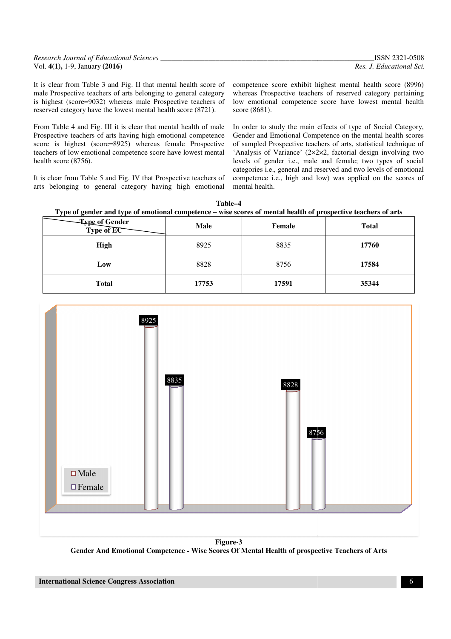| Research Journal of Educational Sciences | ISSN 2321-0508           |
|------------------------------------------|--------------------------|
| Vol. $4(1)$ , 1-9, January (2016)        | Res. J. Educational Sci. |

It is clear from Table 3 and Fig. II that mental health score of male Prospective teachers of arts belonging to general category is highest (score=9032) whereas male Prospective teachers of reserved category have the lowest mental health score (8721).

From Table 4 and Fig. III it is clear that mental health of male Prospective teachers of arts having high emotional competence score is highest (score=8925) whereas female Prospective teachers of low emotional competence score have lowest mental health score (8756).

It is clear from Table 5 and Fig. IV that Prospective teachers of arts belonging to general category having high emotional

whereas Prospective teachers of reserved category pertaining<br>low emotional competence score have lowest mental health low emotional competence score have lowest mental health score (8681).

ble 3 and Fig. II that mental health score of competence score exhibit highest mental health score (8996) achers of arts belonging to general category whereas Prospective teachers of reserved category pertaining 032) where In order to study the main effects of type of Social Category, Gender and Emotional Competence on the mental health scores of sampled Prospective teachers of arts, statistical technique of In order to study the main effects of type of Social Category, Gender and Emotional Competence on the mental health scores of sampled Prospective teachers of arts, statistical technique of 'Analysis of Variance' (2×2×2, fa levels of gender i.e., male and female; two types of social categories i.e., general and reserved and two levels of emotional competence i.e., high and low) was applied on the scores of mental health. levels of gender i.e., male and female; two types<br>categories i.e., general and reserved and two levels of<br>competence i.e., high and low) was applied on the



| $\overline{\phantom{a}}$<br>-<br>. . |             |        |              |
|--------------------------------------|-------------|--------|--------------|
| Type of Gender<br>Type of EC         | <b>Male</b> | Female | <b>Total</b> |
| High                                 | 8925        | 8835   | 17760        |
| Low                                  | 8828        | 8756   | 17584        |
| <b>Total</b>                         | 17753       | 17591  | 35344        |



**Gender And Emotional Competence - Wise Scores Of Mental Health of prospective Teachers of Arts Figure-3**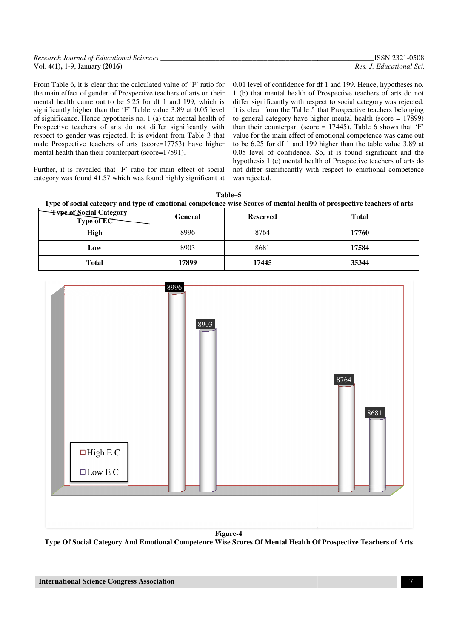| <b>Research Journal of Educational Sciences</b> | <b>ISSN 2321-0508</b>    |
|-------------------------------------------------|--------------------------|
| Vol. $4(1)$ , 1-9, January (2016)               | Res. J. Educational Sci. |

From Table 6, it is clear that the calculated value of 'F' ratio for the main effect of gender of Prospective teachers of arts on their mental health came out to be 5.25 for df 1 and 199, which is significantly higher than the 'F' Table value 3.89 at 0.05 level of significance. Hence hypothesis no. 1 (a) that mental health of Prospective teachers of arts do not differ significantly with respect to gender was rejected. It is evident from Table 3 that male Prospective teachers of arts (score=17753) have highe higher mental health than their counterpart (score=17591). ratio for<br>on their<br>which is<br>05 level 0.01 level of confidence for df 1 and 199. Hence, hypotheses no. 1 (b) that mental health of Prospective teachers of arts do not differ significantly with respect to social category was rejected. It is clear from the Table 5 that Prospective teachers belonging to general category have higher mental health (score = 17899) 0.01 level of confidence for df 1 and 199. Hence, hypotheses no.<br>1 (b) that mental health of Prospective teachers of arts do not<br>differ significantly with respect to social category was rejected.<br>It is clear from the Tabl value for the main effect of emotional competence was came out to be 6.25 for df 1 and 199 higher than the table value 3.89 at to be  $6.25$  for df 1 and 199 higher than the table value 3.89 at  $0.05$  level of confidence. So, it is found significant and the hypothesis 1 (c) mental health of Prospective teachers of arts do not differ significantly with respect to emotional competence was rejected.

Further, it is revealed that 'F' ratio for main effect of social category was found 41.57 which was found highly significant at

Type of social category and type of emotional competence-wise Scores of mental health of prospective teachers of arts **Table–5** 

| <b>Expendence Social Category<br/>Expendit Category</b> | General | <b>Reserved</b> | <b>Total</b> |
|---------------------------------------------------------|---------|-----------------|--------------|
| High                                                    | 8996    | 8764            | 17760        |
| Low                                                     | 8903    | 8681            | 17584        |
| <b>Total</b>                                            | 17899   | 17445           | 35344        |

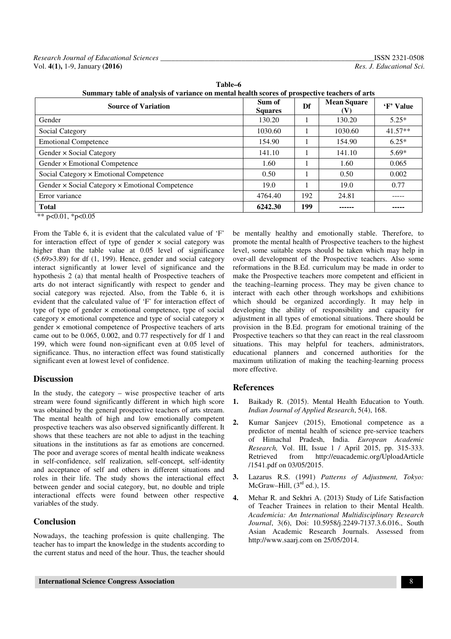| Summary table of analysis of variance on mental health scores of prospective teachers of arts |                          |     |                           |           |  |
|-----------------------------------------------------------------------------------------------|--------------------------|-----|---------------------------|-----------|--|
| <b>Source of Variation</b>                                                                    | Sum of<br><b>Squares</b> | Df  | <b>Mean Square</b><br>(V) | 'F' Value |  |
| Gender                                                                                        | 130.20                   |     | 130.20                    | $5.25*$   |  |
| Social Category                                                                               | 1030.60                  |     | 1030.60                   | $41.57**$ |  |
| <b>Emotional Competence</b>                                                                   | 154.90                   |     | 154.90                    | $6.25*$   |  |
| Gender × Social Category                                                                      | 141.10                   |     | 141.10                    | $5.69*$   |  |
| Gender × Emotional Competence                                                                 | 1.60                     |     | 1.60                      | 0.065     |  |
| Social Category × Emotional Competence                                                        | 0.50                     |     | 0.50                      | 0.002     |  |
| Gender × Social Category × Emotional Competence                                               | 19.0                     |     | 19.0                      | 0.77      |  |
| Error variance                                                                                | 4764.40                  | 192 | 24.81                     |           |  |
| <b>Total</b>                                                                                  | 6242.30                  | 199 |                           | -----     |  |

**Table–6** 

\*\* p<0.01, \*p<0.05

From the Table 6, it is evident that the calculated value of 'F' for interaction effect of type of gender  $\times$  social category was higher than the table value at 0.05 level of significance (5.69>3.89) for df (1, 199). Hence, gender and social category interact significantly at lower level of significance and the hypothesis 2 (a) that mental health of Prospective teachers of arts do not interact significantly with respect to gender and social category was rejected. Also, from the Table 6, it is evident that the calculated value of 'F' for interaction effect of type of type of gender × emotional competence, type of social category × emotional competence and type of social category × gender × emotional competence of Prospective teachers of arts came out to be 0.065, 0.002, and 0.77 respectively for df 1 and 199, which were found non-significant even at 0.05 level of significance. Thus, no interaction effect was found statistically significant even at lowest level of confidence.

## **Discussion**

In the study, the category – wise prospective teacher of arts stream were found significantly different in which high score was obtained by the general prospective teachers of arts stream. The mental health of high and low emotionally competent prospective teachers was also observed significantly different. It shows that these teachers are not able to adjust in the teaching situations in the institutions as far as emotions are concerned. The poor and average scores of mental health indicate weakness in self-confidence, self realization, self-concept, self-identity and acceptance of self and others in different situations and roles in their life. The study shows the interactional effect between gender and social category, but, no double and triple interactional effects were found between other respective variables of the study.

# **Conclusion**

Nowadays, the teaching profession is quite challenging. The teacher has to impart the knowledge in the students according to the current status and need of the hour. Thus, the teacher should

be mentally healthy and emotionally stable. Therefore, to promote the mental health of Prospective teachers to the highest level, some suitable steps should be taken which may help in over-all development of the Prospective teachers. Also some reformations in the B.Ed. curriculum may be made in order to make the Prospective teachers more competent and efficient in the teaching–learning process. They may be given chance to interact with each other through workshops and exhibitions which should be organized accordingly. It may help in developing the ability of responsibility and capacity for adjustment in all types of emotional situations. There should be provision in the B.Ed. program for emotional training of the Prospective teachers so that they can react in the real classroom situations. This may helpful for teachers, administrators, educational planners and concerned authorities for the maximum utilization of making the teaching-learning process more effective.

## **References**

- **1.** Baikady R. (2015). Mental Health Education to Youth. *Indian Journal of Applied Research*, 5(4), 168.
- **2.** Kumar Sanjeev (2015), Emotional competence as a predictor of mental health of science pre-service teachers of Himachal Pradesh, India. *European Academic Research,* Vol. III, Issue 1 / April 2015, pp. 315-333. Retrieved from http://euacademic.org/UploadArticle /1541.pdf on 03/05/2015.
- **3.** Lazarus R.S. (1991) *Patterns of Adjustment, Tokyo:*  McGraw–Hill,  $(3<sup>rd</sup>$  ed.), 15.
- **4.** Mehar R. and Sekhri A. (2013) Study of Life Satisfaction of Teacher Trainees in relation to their Mental Health. *Academicia: An International Multidisciplinary Research Journal*, 3(6), Doi: 10.5958/j.2249-7137.3.6.016., South Asian Academic Research Journals. Assessed from http://www.saarj.com on 25/05/2014.

 **International Science Congress Association** 8